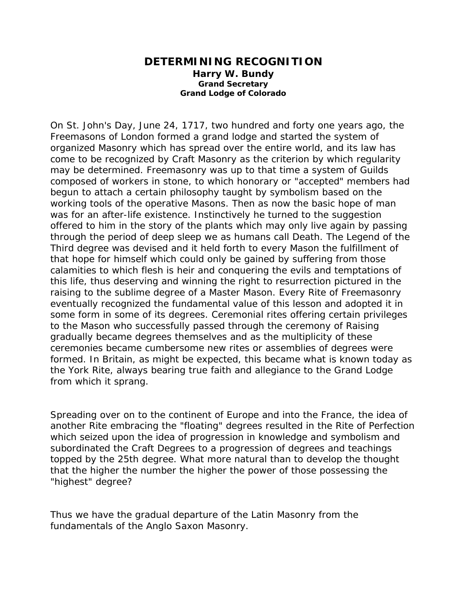## **DETERMINING RECOGNITION Harry W. Bundy Grand Secretary Grand Lodge of Colorado**

On St. John's Day, June 24, 1717, two hundred and forty one years ago, the Freemasons of London formed a grand lodge and started the system of organized Masonry which has spread over the entire world, and its law has come to be recognized by Craft Masonry as the criterion by which regularity may be determined. Freemasonry was up to that time a system of Guilds composed of workers in stone, to which honorary or "accepted" members had begun to attach a certain philosophy taught by symbolism based on the working tools of the operative Masons. Then as now the basic hope of man was for an after-life existence. Instinctively he turned to the suggestion offered to him in the story of the plants which may only live again by passing through the period of deep sleep we as humans call Death. The Legend of the Third degree was devised and it held forth to every Mason the fulfillment of that hope for himself which could only be gained by suffering from those calamities to which flesh is heir and conquering the evils and temptations of this life, thus deserving and winning the right to resurrection pictured in the raising to the sublime degree of a Master Mason. Every Rite of Freemasonry eventually recognized the fundamental value of this lesson and adopted it in some form in some of its degrees. Ceremonial rites offering certain privileges to the Mason who successfully passed through the ceremony of Raising gradually became degrees themselves and as the multiplicity of these ceremonies became cumbersome new rites or assemblies of degrees were formed. In Britain, as might be expected, this became what is known today as the York Rite, always bearing true faith and allegiance to the Grand Lodge from which it sprang.

Spreading over on to the continent of Europe and into the France, the idea of another Rite embracing the "floating" degrees resulted in the Rite of Perfection which seized upon the idea of progression in knowledge and symbolism and subordinated the Craft Degrees to a progression of degrees and teachings topped by the 25th degree. What more natural than to develop the thought that the higher the number the higher the power of those possessing the "highest" degree?

Thus we have the gradual departure of the Latin Masonry from the fundamentals of the Anglo Saxon Masonry.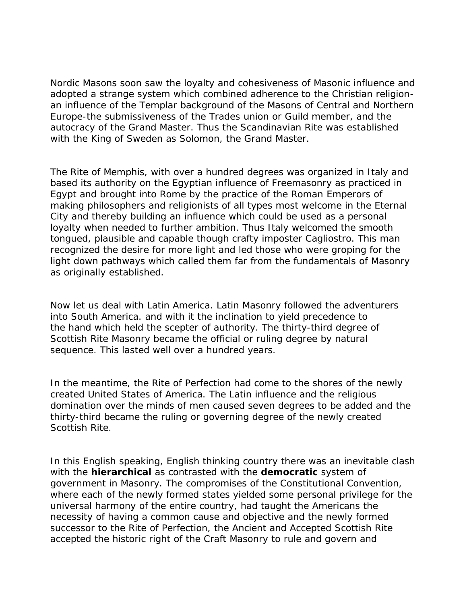Nordic Masons soon saw the loyalty and cohesiveness of Masonic influence and adopted a strange system which combined adherence to the Christian religionan influence of the Templar background of the Masons of Central and Northern Europe-the submissiveness of the Trades union or Guild member, and the autocracy of the Grand Master. Thus the Scandinavian Rite was established with the King of Sweden as Solomon, the Grand Master.

The Rite of Memphis, with over a hundred degrees was organized in Italy and based its authority on the Egyptian influence of Freemasonry as practiced in Egypt and brought into Rome by the practice of the Roman Emperors of making philosophers and religionists of all types most welcome in the Eternal City and thereby building an influence which could be used as a personal loyalty when needed to further ambition. Thus Italy welcomed the smooth tongued, plausible and capable though crafty imposter Cagliostro. This man recognized the desire for more light and led those who were groping for the light down pathways which called them far from the fundamentals of Masonry as originally established.

Now let us deal with Latin America. Latin Masonry followed the adventurers into South America. and with it the inclination to yield precedence to the hand which held the scepter of authority. The thirty-third degree of Scottish Rite Masonry became the official or ruling degree by natural sequence. This lasted well over a hundred years.

In the meantime, the Rite of Perfection had come to the shores of the newly created United States of America. The Latin influence and the religious domination over the minds of men caused seven degrees to be added and the thirty-third became the ruling or governing degree of the newly created Scottish Rite.

In this English speaking, English thinking country there was an inevitable clash with the **hierarchical** as contrasted with the **democratic** system of government in Masonry. The compromises of the Constitutional Convention, where each of the newly formed states yielded some personal privilege for the universal harmony of the entire country, had taught the Americans the necessity of having a common cause and objective and the newly formed successor to the Rite of Perfection, the Ancient and Accepted Scottish Rite accepted the historic right of the Craft Masonry to rule and govern and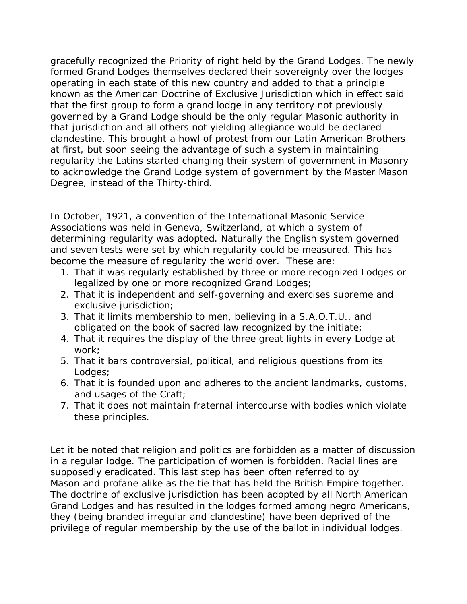gracefully recognized the Priority of right held by the Grand Lodges. The newly formed Grand Lodges themselves declared their sovereignty over the lodges operating in each state of this new country and added to that a principle known as the American Doctrine of Exclusive Jurisdiction which in effect said that the first group to form a grand lodge in any territory not previously governed by a Grand Lodge should be the only regular Masonic authority in that jurisdiction and all others not yielding allegiance would be declared clandestine. This brought a howl of protest from our Latin American Brothers at first, but soon seeing the advantage of such a system in maintaining regularity the Latins started changing their system of government in Masonry to acknowledge the Grand Lodge system of government by the Master Mason Degree, instead of the Thirty-third.

In October, 1921, a convention of the International Masonic Service Associations was held in Geneva, Switzerland, at which a system of determining regularity was adopted. Naturally the English system governed and seven tests were set by which regularity could be measured. This has become the measure of regularity the world over. These are:

- 1. That it was regularly established by three or more recognized Lodges or legalized by one or more recognized Grand Lodges;
- 2. That it is independent and self-governing and exercises supreme and exclusive jurisdiction;
- 3. That it limits membership to men, believing in a S.A.O.T.U., and obligated on the book of sacred law recognized by the initiate;
- 4. That it requires the display of the three great lights in every Lodge at work;
- 5. That it bars controversial, political, and religious questions from its Lodges;
- 6. That it is founded upon and adheres to the ancient landmarks, customs, and usages of the Craft;
- 7. That it does not maintain fraternal intercourse with bodies which violate these principles.

Let it be noted that religion and politics are forbidden as a matter of discussion in a regular lodge. The participation of women is forbidden. Racial lines are supposedly eradicated. This last step has been often referred to by Mason and profane alike as the tie that has held the British Empire together. The doctrine of exclusive jurisdiction has been adopted by all North American Grand Lodges and has resulted in the lodges formed among negro Americans, they (being branded irregular and clandestine) have been deprived of the privilege of regular membership by the use of the ballot in individual lodges.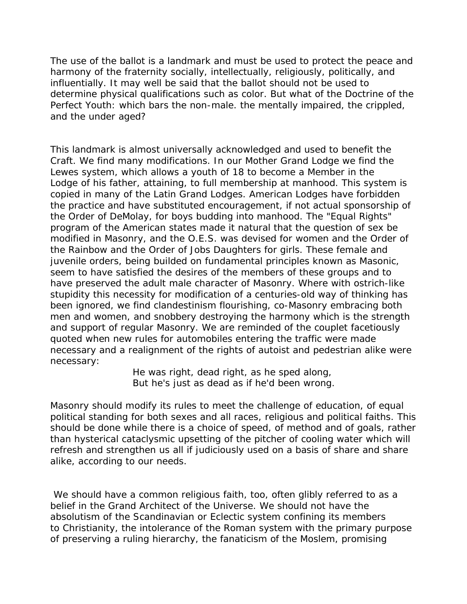The use of the ballot is a landmark and must be used to protect the peace and harmony of the fraternity socially, intellectually, religiously, politically, and influentially. It may well be said that the ballot should not be used to determine physical qualifications such as color. But what of the Doctrine of the Perfect Youth: which bars the non-male. the mentally impaired, the crippled, and the under aged?

This landmark is almost universally acknowledged and used to benefit the Craft. We find many modifications. In our Mother Grand Lodge we find the Lewes system, which allows a youth of 18 to become a Member in the Lodge of his father, attaining, to full membership at manhood. This system is copied in many of the Latin Grand Lodges. American Lodges have forbidden the practice and have substituted encouragement, if not actual sponsorship of the Order of DeMolay, for boys budding into manhood. The "Equal Rights" program of the American states made it natural that the question of sex be modified in Masonry, and the O.E.S. was devised for women and the Order of the Rainbow and the Order of Jobs Daughters for girls. These female and juvenile orders, being builded on fundamental principles known as Masonic, seem to have satisfied the desires of the members of these groups and to have preserved the adult male character of Masonry. Where with ostrich-like stupidity this necessity for modification of a centuries-old way of thinking has been ignored, we find clandestinism flourishing, co-Masonry embracing both men and women, and snobbery destroying the harmony which is the strength and support of regular Masonry. We are reminded of the couplet facetiously quoted when new rules for automobiles entering the traffic were made necessary and a realignment of the rights of autoist and pedestrian alike were necessary:

> He was right, dead right, as he sped along, But he's just as dead as if he'd been wrong.

Masonry should modify its rules to meet the challenge of education, of equal political standing for both sexes and all races, religious and political faiths. This should be done while there is a choice of speed, of method and of goals, rather than hysterical cataclysmic upsetting of the pitcher of cooling water which will refresh and strengthen us all if judiciously used on a basis of share and share alike, according to our needs.

We should have a common religious faith, too, often glibly referred to as a belief in the Grand Architect of the Universe. We should not have the absolutism of the Scandinavian or Eclectic system confining its members to Christianity, the intolerance of the Roman system with the primary purpose of preserving a ruling hierarchy, the fanaticism of the Moslem, promising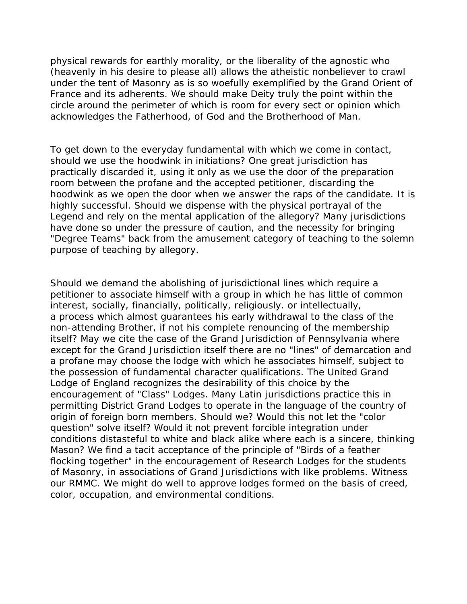physical rewards for earthly morality, or the liberality of the agnostic who (heavenly in his desire to please all) allows the atheistic nonbeliever to crawl under the tent of Masonry as is so woefully exemplified by the Grand Orient of France and its adherents. We should make Deity truly the point within the circle around the perimeter of which is room for every sect or opinion which acknowledges the Fatherhood, of God and the Brotherhood of Man.

To get down to the everyday fundamental with which we come in contact, should we use the hoodwink in initiations? One great jurisdiction has practically discarded it, using it only as we use the door of the preparation room between the profane and the accepted petitioner, discarding the hoodwink as we open the door when we answer the raps of the candidate. It is highly successful. Should we dispense with the physical portrayal of the Legend and rely on the mental application of the allegory? Many jurisdictions have done so under the pressure of caution, and the necessity for bringing "Degree Teams" back from the amusement category of teaching to the solemn purpose of teaching by allegory.

Should we demand the abolishing of jurisdictional lines which require a petitioner to associate himself with a group in which he has little of common interest, socially, financially, politically, religiously. or intellectually, a process which almost guarantees his early withdrawal to the class of the non-attending Brother, if not his complete renouncing of the membership itself? May we cite the case of the Grand Jurisdiction of Pennsylvania where except for the Grand Jurisdiction itself there are no "lines" of demarcation and a profane may choose the lodge with which he associates himself, subject to the possession of fundamental character qualifications. The United Grand Lodge of England recognizes the desirability of this choice by the encouragement of "Class" Lodges. Many Latin jurisdictions practice this in permitting District Grand Lodges to operate in the language of the country of origin of foreign born members. Should we? Would this not let the "color question" solve itself? Would it not prevent forcible integration under conditions distasteful to white and black alike where each is a sincere, thinking Mason? We find a tacit acceptance of the principle of "Birds of a feather flocking together" in the encouragement of Research Lodges for the students of Masonry, in associations of Grand Jurisdictions with like problems. Witness our RMMC. We might do well to approve lodges formed on the basis of creed, color, occupation, and environmental conditions.